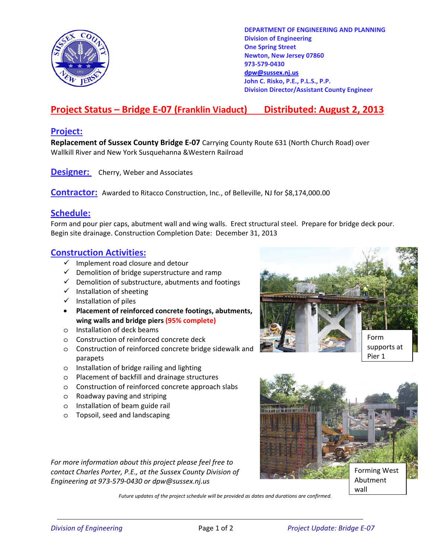

**DEPARTMENT OF ENGINEERING AND PLANNING Division of Engineering One Spring Street Newton, New Jersey 07860 973-579-0430 dpw@sussex.nj.us John C. Risko, P.E., P.L.S., P.P. Division Director/Assistant County Engineer** 

# **Project Status – Bridge E-07 (Franklin Viaduct) Distributed: August 2, 2013**

### **Project:**

**Replacement of Sussex County Bridge E-07** Carrying County Route 631 (North Church Road) over Wallkill River and New York Susquehanna &Western Railroad

**Designer:** Cherry, Weber and Associates

**Contractor:** Awarded to Ritacco Construction, Inc., of Belleville, NJ for \$8,174,000.00

### **Schedule:**

Form and pour pier caps, abutment wall and wing walls. Erect structural steel. Prepare for bridge deck pour. Begin site drainage. Construction Completion Date: December 31, 2013

### **Construction Activities:**

- $\checkmark$  Implement road closure and detour
- $\checkmark$  Demolition of bridge superstructure and ramp
- $\checkmark$  Demolition of substructure, abutments and footings
- $\checkmark$  Installation of sheeting
- $\checkmark$  Installation of piles
- **Placement of reinforced concrete footings, abutments, wing walls and bridge piers (95% complete)**
- o Installation of deck beams
- o Construction of reinforced concrete deck
- o Construction of reinforced concrete bridge sidewalk and parapets
- o Installation of bridge railing and lighting
- o Placement of backfill and drainage structures
- o Construction of reinforced concrete approach slabs
- o Roadway paving and striping
- o Installation of beam guide rail
- o Topsoil, seed and landscaping

*For more information about this project please feel free to contact Charles Porter, P.E., at the Sussex County Division of Engineering at 973-579-0430 or dpw@sussex.nj.us* 





*Future updates of the project schedule will be provided as dates and durations are confirmed.*